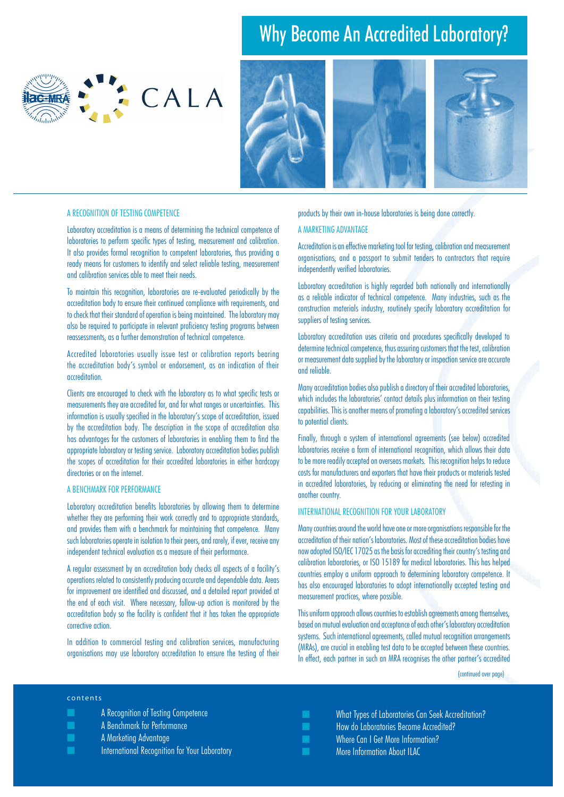# Why Become An Accredited Laboratory?

CALA



# A Recognition of Testing Competence

Laboratory accreditation is a means of determining the technical competence of laboratories to perform specific types of testing, measurement and calibration. It also provides formal recognition to competent laboratories, thus providing a ready means for customers to identify and select reliable testing, measurement and calibration services able to meet their needs.

To maintain this recognition, laboratories are re-evaluated periodically by the accreditation body to ensure their continued compliance with requirements, and to check that their standard of operation is being maintained. The laboratory may also be required to participate in relevant proficiency testing programs between reassessments, as a further demonstration of technical competence.

Accredited laboratories usually issue test or calibration reports bearing the accreditation body's symbol or endorsement, as an indication of their accreditation.

Clients are encouraged to check with the laboratory as to what specific tests or measurements they are accredited for, and for what ranges or uncertainties. This information is usually specified in the laboratory's scope of accreditation, issued by the accreditation body. The description in the scope of accreditation also has advantages for the customers of laboratories in enabling them to find the appropriate laboratory or testing service. Laboratory accreditation bodies publish the scopes of accreditation for their accredited laboratories in either hardcopy directories or on the internet.

### A BENCHMARK FOR PERFORMANCE

Laboratory accreditation benefits laboratories by allowing them to determine whether they are performing their work correctly and to appropriate standards, and provides them with a benchmark for maintaining that competence. Many such laboratories operate in isolation to their peers, and rarely, if ever, receive any independent technical evaluation as a measure of their performance.

A regular assessment by an accreditation body checks all aspects of a facility's operations related to consistently producing accurate and dependable data. Areas for improvement are identified and discussed, and a detailed report provided at the end of each visit. Where necessary, follow-up action is monitored by the accreditation body so the facility is confident that it has taken the appropriate corrective action.

In addition to commercial testing and calibration services, manufacturing organisations may use laboratory accreditation to ensure the testing of their

# products by their own in-house laboratories is being done correctly.

### A Marketing Advantage

Accreditation is an effective marketing tool for testing, calibration and measurement organisations, and a passport to submit tenders to contractors that require independently verified laboratories.

Laboratory accreditation is highly regarded both nationally and internationally as a reliable indicator of technical competence. Many industries, such as the construction materials industry, routinely specify laboratory accreditation for suppliers of testing services.

Laboratory accreditation uses criteria and procedures specifically developed to determine technical competence, thus assuring customers that the test, calibration or measurement data supplied by the laboratory or inspection service are accurate and reliable.

Many accreditation bodies also publish a directory of their accredited laboratories, which includes the laboratories' contact details plus information on their testing capabilities. This is another means of promoting a laboratory's accredited services to potential clients.

Finally, through a system of international agreements (see below) accredited laboratories receive a form of international recognition, which allows their data to be more readily accepted on overseas markets. This recognition helps to reduce costs for manufacturers and exporters that have their products or materials tested in accredited laboratories, by reducing or eliminating the need for retesting in another country.

### INTERNATIONAL RECOGNITION FOR YOUR LABORATORY

Many countries around the world have one or more organisations responsible for the accreditation of their nation's laboratories. Most of these accreditation bodies have now adopted ISO/IEC 17025 as the basis for accrediting their country's testing and calibration laboratories, or ISO 15189 for medical laboratories. This has helped countries employ a uniform approach to determining laboratory competence. It has also encouraged laboratories to adopt internationally accepted testing and measurement practices, where possible.

This uniform approach allows countries to establish agreements among themselves, based on mutual evaluation and acceptance of each other's laboratory accreditation systems. Such international agreements, called mutual recognition arrangements (MRAs), are crucial in enabling test data to be accepted between these countries. In effect, each partner in such an MRA recognises the other partner's accredited

(continued over page)

#### c o n t e n t s

- **EXECUTE:** A Recognition of Testing Competence
- **A Benchmark for Performance**
- **A** Marketing Advantage
- International Recognition for Your Laboratory

■ What Types of Laboratories Can Seek Accreditation? ■ How do Laboratories Become Accredited? Where Can I Get More Information? More Information About ILAC